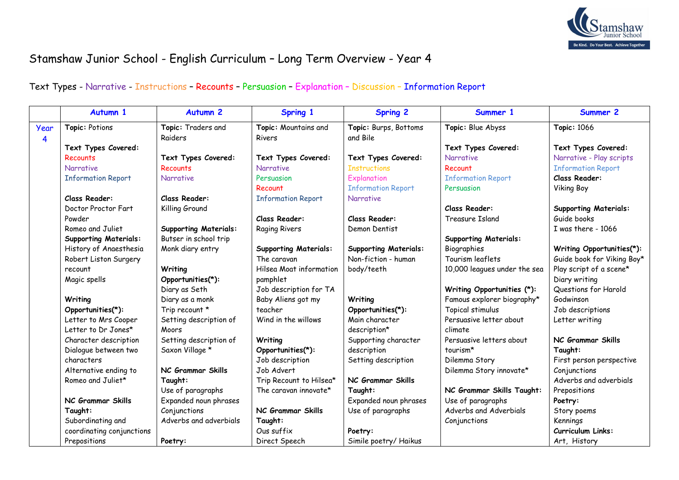

## Stamshaw Junior School - English Curriculum – Long Term Overview - Year 4

## Text Types - Narrative - Instructions – Recounts – Persuasion – Explanation – Discussion – Information Report

|      | Autumn 1                     | <b>Autumn 2</b>              | Spring 1                     | <b>Spring 2</b>              | Summer 1                     | Summer 2                     |
|------|------------------------------|------------------------------|------------------------------|------------------------------|------------------------------|------------------------------|
| Year | Topic: Potions               | Topic: Traders and           | Topic: Mountains and         | Topic: Burps, Bottoms        | Topic: Blue Abyss            | <b>Topic: 1066</b>           |
| 4    |                              | Raiders                      | <b>Rivers</b>                | and Bile                     |                              |                              |
|      | Text Types Covered:          |                              |                              |                              | Text Types Covered:          | Text Types Covered:          |
|      | Recounts                     | Text Types Covered:          | Text Types Covered:          | Text Types Covered:          | Narrative                    | Narrative - Play scripts     |
|      | <b>Narrative</b>             | <b>Recounts</b>              | <b>Narrative</b>             | <b>Instructions</b>          | Recount                      | <b>Information Report</b>    |
|      | <b>Information Report</b>    | <b>Narrative</b>             | Persuasion                   | Explanation                  | <b>Information Report</b>    | <b>Class Reader:</b>         |
|      |                              |                              | Recount                      | <b>Information Report</b>    | Persuasion                   | <b>Viking Boy</b>            |
|      | Class Reader:                | Class Reader:                | <b>Information Report</b>    | <b>Narrative</b>             |                              |                              |
|      | Doctor Proctor Fart          | Killing Ground               |                              |                              | Class Reader:                | <b>Supporting Materials:</b> |
|      | Powder                       |                              | <b>Class Reader:</b>         | Class Reader:                | Treasure Island              | Guide books                  |
|      | Romeo and Juliet             | <b>Supporting Materials:</b> | <b>Raging Rivers</b>         | Demon Dentist                |                              | I was there - 1066           |
|      | <b>Supporting Materials:</b> | Butser in school trip        |                              |                              | <b>Supporting Materials:</b> |                              |
|      | History of Anaesthesia       | Monk diary entry             | <b>Supporting Materials:</b> | <b>Supporting Materials:</b> | Biographies                  | Writing Opportunities(*):    |
|      | Robert Liston Surgery        |                              | The caravan                  | Non-fiction - human          | Tourism leaflets             | Guide book for Viking Boy*   |
|      | recount                      | Writing                      | Hilsea Moat information      | body/teeth                   | 10,000 leagues under the sea | Play script of a scene*      |
|      | Magic spells                 | Opportunities(*):            | pamphlet                     |                              |                              | Diary writing                |
|      |                              | Diary as Seth                | Job description for TA       |                              | Writing Opportunities (*):   | Questions for Harold         |
|      | Writing                      | Diary as a monk              | Baby Aliens got my           | Writing                      | Famous explorer biography*   | Godwinson                    |
|      | Opportunities(*):            | Trip recount *               | teacher                      | Opportunities(*):            | Topical stimulus             | Job descriptions             |
|      | Letter to Mrs Cooper         | Setting description of       | Wind in the willows          | Main character               | Persuasive letter about      | Letter writing               |
|      | Letter to Dr Jones*          | Moors                        |                              | description*                 | climate                      |                              |
|      | Character description        | Setting description of       | Writing                      | Supporting character         | Persuasive letters about     | NC Grammar Skills            |
|      | Dialogue between two         | Saxon Village *              | Opportunities(*):            | description                  | tourism*                     | Taught:                      |
|      | characters                   |                              | Job description              | Setting description          | Dilemma Story                | First person perspective     |
|      | Alternative ending to        | NC Grammar Skills            | Job Advert                   |                              | Dilemma Story innovate*      | Conjunctions                 |
|      | Romeo and Juliet*            | Taught:                      | Trip Recount to Hilsea*      | NC Grammar Skills            |                              | Adverbs and adverbials       |
|      |                              | Use of paragraphs            | The caravan innovate*        | Taught:                      | NC Grammar Skills Taught:    | Prepositions                 |
|      | NC Grammar Skills            | Expanded noun phrases        |                              | Expanded noun phrases        | Use of paragraphs            | Poetry:                      |
|      | Taught:                      | Conjunctions                 | NC Grammar Skills            | Use of paragraphs            | Adverbs and Adverbials       | Story poems                  |
|      | Subordinating and            | Adverbs and adverbials       | Taught:                      |                              | Conjunctions                 | Kennings                     |
|      | coordinating conjunctions    |                              | Ous suffix                   | Poetry:                      |                              | <b>Curriculum Links:</b>     |
|      | Prepositions                 | Poetry:                      | Direct Speech                | Simile poetry/Haikus         |                              | Art, History                 |